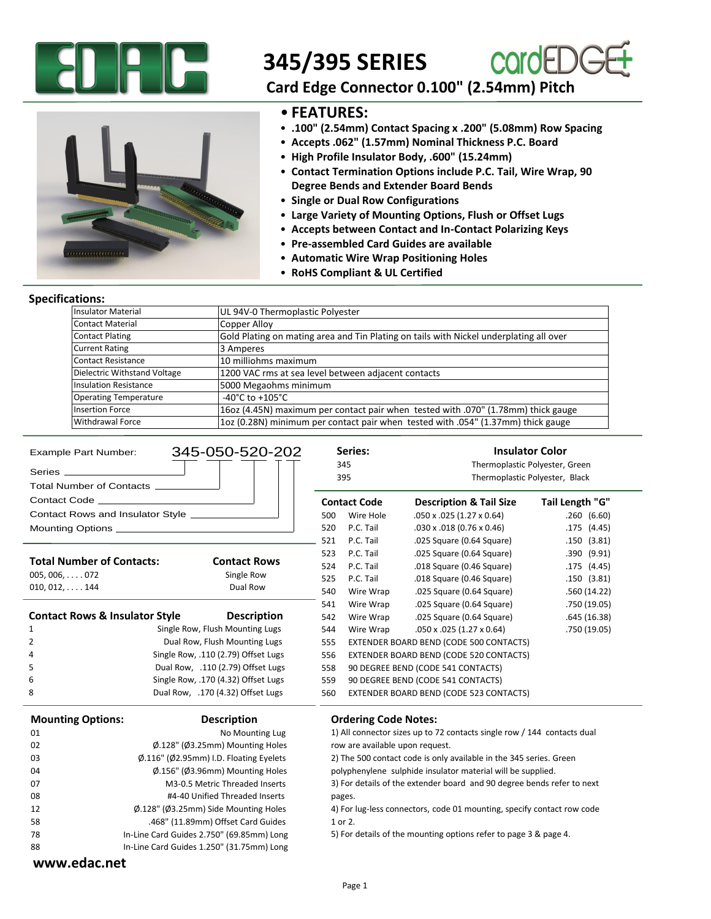

# **345/395 SERIES**



,,,,,,,,,,,,,,,,,,

### **Card Edge Connector 0.100" (2.54mm) Pitch**

### • **FEATURES:**

- **.100" (2.54mm) Contact Spacing x .200" (5.08mm) Row Spacing**
- **Accepts .062" (1.57mm) Nominal Thickness P.C. Board**
- **High Profile Insulator Body, .600" (15.24mm)**
- **Contact Termination Options include P.C. Tail, Wire Wrap, 90 Degree Bends and Extender Board Bends**
- **Single or Dual Row Configurations**
- **Large Variety of Mounting Options, Flush or Offset Lugs**
- **Accepts between Contact and In-Contact Polarizing Keys**
- **Pre-assembled Card Guides are available**
- **Automatic Wire Wrap Positioning Holes**
- **RoHS Compliant & UL Certified**

#### **Specifications:**

| <b>Insulator Material</b>    | UL 94V-0 Thermoplastic Polyester                                                       |
|------------------------------|----------------------------------------------------------------------------------------|
| Contact Material             | Copper Alloy                                                                           |
| <b>Contact Plating</b>       | Gold Plating on mating area and Tin Plating on tails with Nickel underplating all over |
| <b>Current Rating</b>        | 3 Amperes                                                                              |
| <b>Contact Resistance</b>    | 10 milliohms maximum                                                                   |
| Dielectric Withstand Voltage | 1200 VAC rms at sea level between adjacent contacts                                    |
| <b>Insulation Resistance</b> | 5000 Megaohms minimum                                                                  |
| <b>Operating Temperature</b> | $-40^{\circ}$ C to $+105^{\circ}$ C                                                    |
| <b>Insertion Force</b>       | 16oz (4.45N) maximum per contact pair when tested with .070" (1.78mm) thick gauge      |
| Withdrawal Force             | 10z (0.28N) minimum per contact pair when tested with .054" (1.37mm) thick gauge       |

| <b>Example Part Number:</b>                                     | 345-050-520-202                                               |                                                                         | Series:                                                                | <b>Insulator Color</b>                                                 |                 |  |  |  |  |  |
|-----------------------------------------------------------------|---------------------------------------------------------------|-------------------------------------------------------------------------|------------------------------------------------------------------------|------------------------------------------------------------------------|-----------------|--|--|--|--|--|
|                                                                 |                                                               |                                                                         | 345                                                                    | Thermoplastic Polyester, Green<br>Thermoplastic Polyester, Black       |                 |  |  |  |  |  |
| Total Number of Contacts ___________                            |                                                               |                                                                         | 395                                                                    |                                                                        |                 |  |  |  |  |  |
|                                                                 |                                                               |                                                                         | <b>Contact Code</b>                                                    | <b>Description &amp; Tail Size</b>                                     | Tail Length "G" |  |  |  |  |  |
| Contact Rows and Insulator Style ___________                    |                                                               |                                                                         | Wire Hole                                                              | $.050 \times .025$ (1.27 $\times$ 0.64)                                | .260(6.60)      |  |  |  |  |  |
|                                                                 |                                                               |                                                                         | P.C. Tail                                                              | $.030 \times .018$ (0.76 $\times$ 0.46)                                | .175(4.45)      |  |  |  |  |  |
|                                                                 |                                                               | 520<br>521                                                              | P.C. Tail                                                              | .025 Square (0.64 Square)                                              | .150(3.81)      |  |  |  |  |  |
|                                                                 |                                                               | 523                                                                     | P.C. Tail                                                              | .025 Square (0.64 Square)                                              | .390(9.91)      |  |  |  |  |  |
| <b>Total Number of Contacts:</b><br><b>Contact Rows</b>         |                                                               | 524                                                                     | P.C. Tail                                                              | .018 Square (0.46 Square)                                              | .175(4.45)      |  |  |  |  |  |
| $005, 006, \ldots$ . 072                                        | Single Row                                                    | 525                                                                     | P.C. Tail                                                              | .018 Square (0.46 Square)                                              | .150(3.81)      |  |  |  |  |  |
| $010, 012, \ldots$ . 144                                        | Dual Row                                                      | 540                                                                     | Wire Wrap                                                              | .025 Square (0.64 Square)                                              | .560(14.22)     |  |  |  |  |  |
|                                                                 |                                                               | 541                                                                     | Wire Wrap                                                              | .025 Square (0.64 Square)                                              | .750(19.05)     |  |  |  |  |  |
| <b>Contact Rows &amp; Insulator Style</b><br><b>Description</b> |                                                               |                                                                         | Wire Wrap                                                              | .025 Square (0.64 Square)                                              | .645(16.38)     |  |  |  |  |  |
| Single Row, Flush Mounting Lugs<br>1                            |                                                               |                                                                         | Wire Wrap                                                              | $.050 \times .025$ (1.27 $\times$ 0.64)                                | .750(19.05)     |  |  |  |  |  |
| $\overline{2}$                                                  | Dual Row, Flush Mounting Lugs                                 |                                                                         |                                                                        | 555<br>EXTENDER BOARD BEND (CODE 500 CONTACTS)                         |                 |  |  |  |  |  |
| 4                                                               | Single Row, .110 (2.79) Offset Lugs                           |                                                                         | 556<br>EXTENDER BOARD BEND (CODE 520 CONTACTS)                         |                                                                        |                 |  |  |  |  |  |
| 5<br>Dual Row, .110 (2.79) Offset Lugs                          |                                                               | 558                                                                     |                                                                        | 90 DEGREE BEND (CODE 541 CONTACTS)                                     |                 |  |  |  |  |  |
| Single Row, .170 (4.32) Offset Lugs<br>6                        |                                                               | 559                                                                     | 90 DEGREE BEND (CODE 541 CONTACTS)                                     |                                                                        |                 |  |  |  |  |  |
| 8<br>Dual Row, .170 (4.32) Offset Lugs                          |                                                               |                                                                         |                                                                        | EXTENDER BOARD BEND (CODE 523 CONTACTS)                                |                 |  |  |  |  |  |
| <b>Mounting Options:</b>                                        | <b>Description</b>                                            |                                                                         | <b>Ordering Code Notes:</b>                                            |                                                                        |                 |  |  |  |  |  |
| 01                                                              | No Mounting Lug                                               | 1) All connector sizes up to 72 contacts single row / 144 contacts dual |                                                                        |                                                                        |                 |  |  |  |  |  |
| 02                                                              | Ø.128" (Ø3.25mm) Mounting Holes                               |                                                                         | row are available upon request.                                        |                                                                        |                 |  |  |  |  |  |
| 03                                                              | $\emptyset$ .116" ( $\emptyset$ 2.95mm) I.D. Floating Eyelets |                                                                         |                                                                        | 2) The 500 contact code is only available in the 345 series. Green     |                 |  |  |  |  |  |
| $\varphi$ .156" ( $\varphi$ 3.96mm) Mounting Holes<br>04        |                                                               |                                                                         | polyphenylene sulphide insulator material will be supplied.            |                                                                        |                 |  |  |  |  |  |
| 07                                                              | M3-0.5 Metric Threaded Inserts                                |                                                                         |                                                                        | 3) For details of the extender board and 90 degree bends refer to next |                 |  |  |  |  |  |
| 08                                                              | #4-40 Unified Threaded Inserts                                | pages.                                                                  |                                                                        |                                                                        |                 |  |  |  |  |  |
| $\varphi$ .128" ( $\varphi$ 3.25mm) Side Mounting Holes<br>12   |                                                               |                                                                         | 4) For lug-less connectors, code 01 mounting, specify contact row code |                                                                        |                 |  |  |  |  |  |
| 58<br>.468" (11.89mm) Offset Card Guides                        |                                                               |                                                                         | 1 or 2.                                                                |                                                                        |                 |  |  |  |  |  |
| In-Line Card Guides 2.750" (69.85mm) Long<br>78                 |                                                               |                                                                         |                                                                        | 5) For details of the mounting options refer to page 3 & page 4.       |                 |  |  |  |  |  |
| 88                                                              | In-Line Card Guides 1.250" (31.75mm) Long                     |                                                                         |                                                                        |                                                                        |                 |  |  |  |  |  |
| www.edac.net                                                    |                                                               |                                                                         |                                                                        |                                                                        |                 |  |  |  |  |  |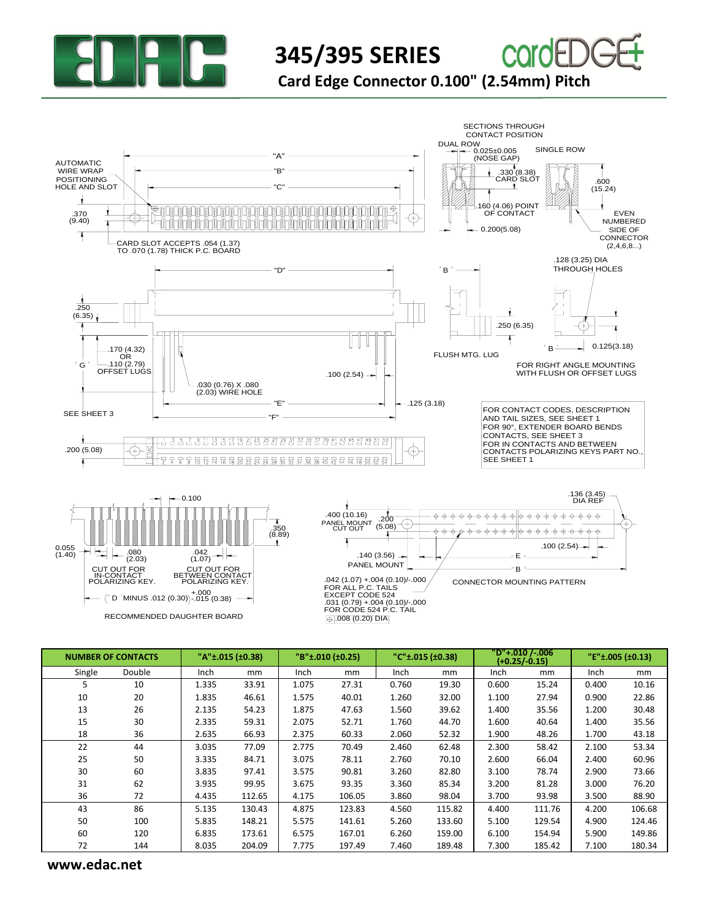

## **345/395 SERIES Card Edge Connector 0.100" (2.54mm) Pitch**

SECTIONS THROUGH CONTACT POSITION DUAL ROW SINGLE ROW  $0.025 \pm 0.005$ WW.edac.net<br> **WANNER OF CONTACTS**<br>  $\frac{1}{1000}$ <br>  $\frac{1}{1000}$ <br>  $\frac{1}{1000}$ <br>  $\frac{1}{1000}$ <br>  $\frac{1}{1000}$ <br>  $\frac{1}{1000}$ <br>  $\frac{1}{1000}$ <br>  $\frac{1}{1000}$ <br>  $\frac{1}{1000}$ <br>  $\frac{1}{1000}$ <br>  $\frac{1}{1000}$ <br>  $\frac{1}{1000}$ <br>  $\frac{1}{1000}$ <br>  $\frac$ (NOSE GAP) AUTOMATIC  $\overline{.330}$  (8.38) WIRE WRAP "B" POSITIONING CARD SLOT .600 HOLE AND SLOT  $(15.24)$ "C" .160 (4.06) POINT 加加劣 EVEN OF CONTACT .370 (9.40)  $\left(\!+\!\right)$ NUMBERED 0.200(5.08) SIDE OF CONNECTOR CARD SLOT ACCEPTS .054 (1.37) (2,4,6,8...) TO .070 (1.78) THICK P.C. BOARD .128 (3.25) DIA  $\mathbb{P}$   $\mathbb{P}$   $\mathbb{P}$   $\mathbb{P}$   $\mathbb{P}$   $\mathbb{P}$   $\mathbb{P}$   $\mathbb{P}$   $\mathbb{P}$   $\mathbb{P}$   $\mathbb{P}$   $\mathbb{P}$   $\mathbb{P}$   $\mathbb{P}$   $\mathbb{P}$   $\mathbb{P}$   $\mathbb{P}$   $\mathbb{P}$   $\mathbb{P}$   $\mathbb{P}$   $\mathbb{P}$   $\mathbb{P}$   $\mathbb{P}$   $\mathbb{P}$   $\mathbb{$ .250  $\blacksquare$  $\mathbf{v}$ (6.35) .250 (6.35)  $\overline{\mathcal{C}}$  $\parallel$  $B^{\perp}$  0.125(3.18) .170 (4.32) FLUSH MTG. LUG OR " G .110 (2.79) FOR RIGHT ANGLE MOUNTING OFFSET LUGS WITH FLUSH OR OFFSET LUGS  $.100(2.54)$  — .030 (0.76) X .080 (2.03) WIRE HOLE  $-.125(3.18)$ "E" FOR CONTACT CODES, DESCRIPTION SEE SHEET 3 "F" AND TAIL SIZES, SEE SHEET 1 FOR 90°, EXTENDER BOARD BENDS CONTACTS, SEE SHEET 3 FOR IN CONTACTS AND BETWEEN  $\overleftrightarrow{\oplus}$ .200 (5.08) CONTACTS POLARIZING KEYS PART NO., SEE SHEET 1 .136 (3.45)  $-0.100$ DIA REF .400 (10.16)  $\phi$  –  $\phi$  $\phi$   $\phi$   $\phi$  $\phi$   $\phi$   $\phi$   $\phi$   $\phi$ -0 . 200 PANEL MOUNT<br>CUT OUT (5.08) .350 (8.89)  $\begin{array}{ccccccccccccccccc} \varphi & \varphi & \varphi & \varphi & \varphi & \varphi & \varphi & \varphi & \varphi \end{array}$ ٠Ġ . க் -6 -ф.-ф. . க் -က  $.100(2.54)$ 0.055 (1.40) .042 (2.03) .080 .140 (3.56) E (1.07) PANEL MOUNT " B " CUT OUT FOR IN-CONTACT <u>CUT OUT FOR</u> BETWEEN CONTACT POLARIZING KEY. .042 (1.07) +.004 (0.10)/-.000 POLARIZING KEY. CONNECTOR MOUNTING PATTERN FOR ALL P.C. TAILS MINUS .012 (0.30) D +.000 -.015 (0.38) EXCEPT CODE 524 .031 (0.79) +.004 (0.10)/-.000 FOR CODE 524 P.C. TAIL RECOMMENDED DAUGHTER BOARD  $\bigoplus$ .008 (0.20) DIA

| <b>NUMBER OF CONTACTS</b> |        |             | "A"±.015 (±0.38) | "B"±.010 (±0.25) |        | $"C" \pm .015$ (±0.38) |        | "D"+.010 /-.006<br>$(+0.25/-0.15)$ |        | "E"±.005 (±0.13) |        |
|---------------------------|--------|-------------|------------------|------------------|--------|------------------------|--------|------------------------------------|--------|------------------|--------|
| Single                    | Double | <b>Inch</b> | mm               | Inch             | mm     | Inch                   | mm     | <b>Inch</b>                        | mm     | Inch             | mm     |
| 5                         | 10     | 1.335       | 33.91            | 1.075            | 27.31  | 0.760                  | 19.30  | 0.600                              | 15.24  | 0.400            | 10.16  |
| 10                        | 20     | 1.835       | 46.61            | 1.575            | 40.01  | 1.260                  | 32.00  | 1.100                              | 27.94  | 0.900            | 22.86  |
| 13                        | 26     | 2.135       | 54.23            | 1.875            | 47.63  | 1.560                  | 39.62  | 1.400                              | 35.56  | 1.200            | 30.48  |
| 15                        | 30     | 2.335       | 59.31            | 2.075            | 52.71  | 1.760                  | 44.70  | 1.600                              | 40.64  | 1.400            | 35.56  |
| 18                        | 36     | 2.635       | 66.93            | 2.375            | 60.33  | 2.060                  | 52.32  | 1.900                              | 48.26  | 1.700            | 43.18  |
| 22                        | 44     | 3.035       | 77.09            | 2.775            | 70.49  | 2.460                  | 62.48  | 2.300                              | 58.42  | 2.100            | 53.34  |
| 25                        | 50     | 3.335       | 84.71            | 3.075            | 78.11  | 2.760                  | 70.10  | 2.600                              | 66.04  | 2.400            | 60.96  |
| 30                        | 60     | 3.835       | 97.41            | 3.575            | 90.81  | 3.260                  | 82.80  | 3.100                              | 78.74  | 2.900            | 73.66  |
| 31                        | 62     | 3.935       | 99.95            | 3.675            | 93.35  | 3.360                  | 85.34  | 3.200                              | 81.28  | 3.000            | 76.20  |
| 36                        | 72     | 4.435       | 112.65           | 4.175            | 106.05 | 3.860                  | 98.04  | 3.700                              | 93.98  | 3.500            | 88.90  |
| 43                        | 86     | 5.135       | 130.43           | 4.875            | 123.83 | 4.560                  | 115.82 | 4.400                              | 111.76 | 4.200            | 106.68 |
| 50                        | 100    | 5.835       | 148.21           | 5.575            | 141.61 | 5.260                  | 133.60 | 5.100                              | 129.54 | 4.900            | 124.46 |
| 60                        | 120    | 6.835       | 173.61           | 6.575            | 167.01 | 6.260                  | 159.00 | 6.100                              | 154.94 | 5.900            | 149.86 |
| 72                        | 144    | 8.035       | 204.09           | 7.775            | 197.49 | 7.460                  | 189.48 | 7.300                              | 185.42 | 7.100            | 180.34 |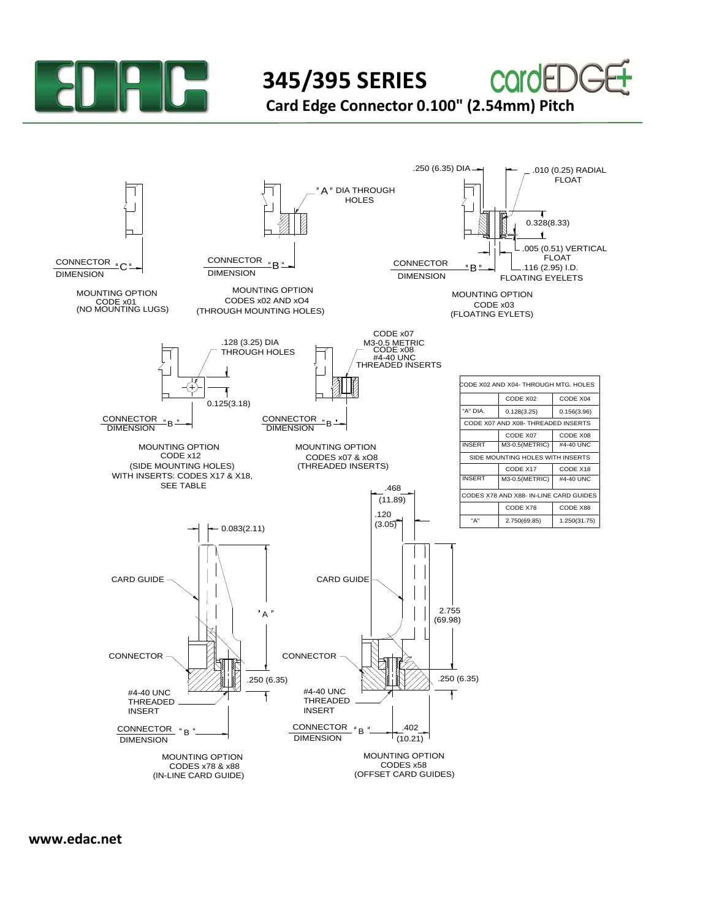

**345/395 SERIES** 

**Card Edge Connector 0.100" (2.54mm) Pitch**

COI



**www.edac.net**